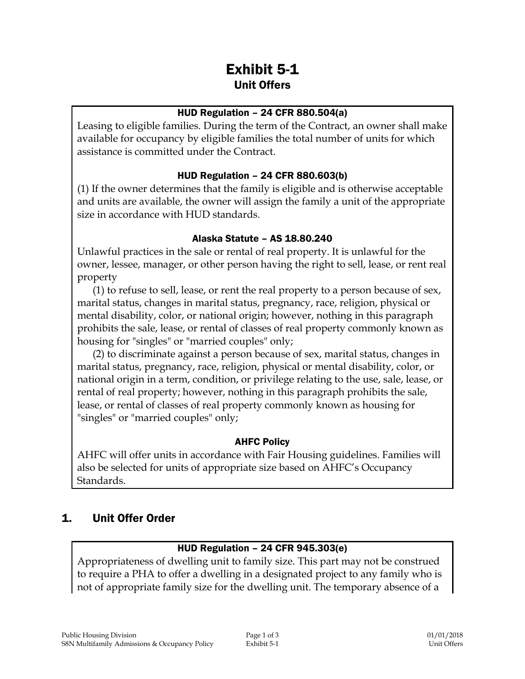# Exhibit 5-1 Unit Offers

### HUD Regulation – 24 CFR 880.504(a)

Leasing to eligible families. During the term of the Contract, an owner shall make available for occupancy by eligible families the total number of units for which assistance is committed under the Contract.

### HUD Regulation – 24 CFR 880.603(b)

(1) If the owner determines that the family is eligible and is otherwise acceptable and units are available, the owner will assign the family a unit of the appropriate size in accordance with HUD standards.

### Alaska Statute – AS 18.80.240

Unlawful practices in the sale or rental of real property. It is unlawful for the owner, lessee, manager, or other person having the right to sell, lease, or rent real property

(1) to refuse to sell, lease, or rent the real property to a person because of sex, marital status, changes in marital status, pregnancy, race, religion, physical or mental disability, color, or national origin; however, nothing in this paragraph prohibits the sale, lease, or rental of classes of real property commonly known as housing for "singles" or "married couples" only;

(2) to discriminate against a person because of sex, marital status, changes in marital status, pregnancy, race, religion, physical or mental disability, color, or national origin in a term, condition, or privilege relating to the use, sale, lease, or rental of real property; however, nothing in this paragraph prohibits the sale, lease, or rental of classes of real property commonly known as housing for "singles" or "married couples" only;

## AHFC Policy

AHFC will offer units in accordance with Fair Housing guidelines. Families will also be selected for units of appropriate size based on AHFC's Occupancy Standards.

## 1. Unit Offer Order

## HUD Regulation – 24 CFR 945.303(e)

Appropriateness of dwelling unit to family size. This part may not be construed to require a PHA to offer a dwelling in a designated project to any family who is not of appropriate family size for the dwelling unit. The temporary absence of a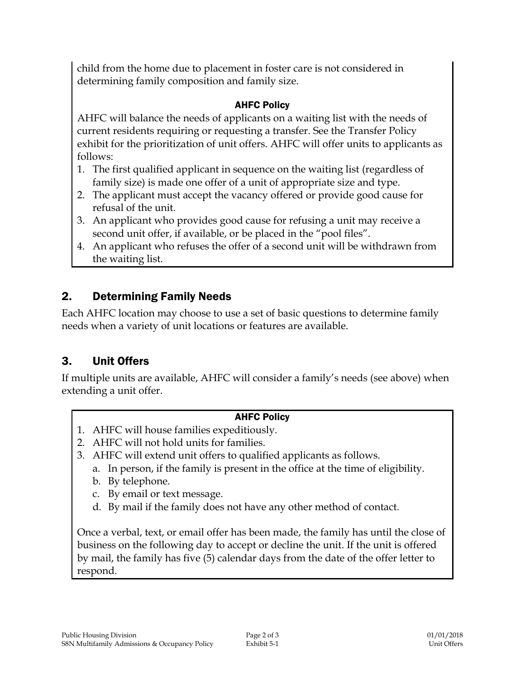child from the home due to placement in foster care is not considered in determining family composition and family size.

## AHFC Policy

AHFC will balance the needs of applicants on a waiting list with the needs of current residents requiring or requesting a transfer. See the Transfer Policy exhibit for the prioritization of unit offers. AHFC will offer units to applicants as follows:

- 1. The first qualified applicant in sequence on the waiting list (regardless of family size) is made one offer of a unit of appropriate size and type.
- 2. The applicant must accept the vacancy offered or provide good cause for refusal of the unit.
- 3. An applicant who provides good cause for refusing a unit may receive a second unit offer, if available, or be placed in the "pool files".
- 4. An applicant who refuses the offer of a second unit will be withdrawn from the waiting list.

## 2. Determining Family Needs

Each AHFC location may choose to use a set of basic questions to determine family needs when a variety of unit locations or features are available.

## 3. Unit Offers

If multiple units are available, AHFC will consider a family's needs (see above) when extending a unit offer.

## AHFC Policy

- 1. AHFC will house families expeditiously.
- 2. AHFC will not hold units for families.
- 3. AHFC will extend unit offers to qualified applicants as follows.
	- a. In person, if the family is present in the office at the time of eligibility.
	- b. By telephone.
	- c. By email or text message.
	- d. By mail if the family does not have any other method of contact.

Once a verbal, text, or email offer has been made, the family has until the close of business on the following day to accept or decline the unit. If the unit is offered by mail, the family has five (5) calendar days from the date of the offer letter to respond.